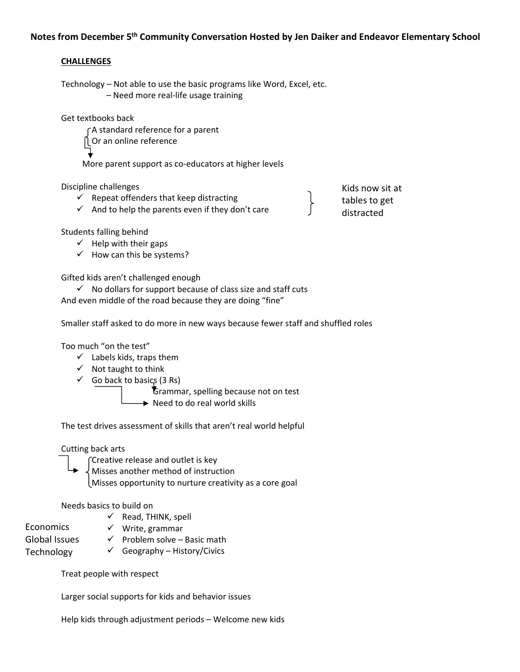# **Notes from December 5th Community Conversation Hosted by Jen Daiker and Endeavor Elementary School**

## **CHALLENGES**

Technology – Not able to use the basic programs like Word, Excel, etc. – Need more real‐life usage training

Get textbooks back

A standard reference for a parent Or an online reference More parent support as co-educators at higher levels

Discipline challenges

- $\checkmark$  Repeat offenders that keep distracting
- $\checkmark$  And to help the parents even if they don't care

Kids now sit at tables to get distracted

Students falling behind

- $\checkmark$  Help with their gaps
- $\checkmark$  How can this be systems?

Gifted kids aren't challenged enough

 $\checkmark$  No dollars for support because of class size and staff cuts And even middle of the road because they are doing "fine"

Smaller staff asked to do more in new ways because fewer staff and shuffled roles

Too much "on the test"

- $\checkmark$  Labels kids, traps them
- $\checkmark$  Not taught to think
- $\checkmark$  Go back to basics (3 Rs)

 Grammar, spelling because not on test  $\rightarrow$  Need to do real world skills

The test drives assessment of skills that aren't real world helpful

## Cutting back arts

- Creative release and outlet is key
- Misses another method of instruction
	- Misses opportunity to nurture creativity as a core goal

## Needs basics to build on

- Economics
- $\checkmark$  Read, THINK, spell
- $\checkmark$  Write, grammar
- Global Issues
- $\checkmark$  Problem solve Basic math
- $\checkmark$  Geography History/Civics Technology

Treat people with respect

Larger social supports for kids and behavior issues

Help kids through adjustment periods – Welcome new kids